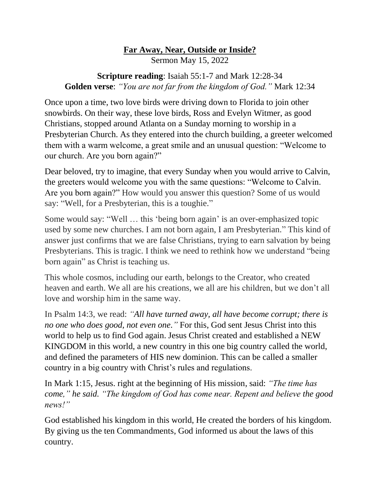## **Far Away, Near, Outside or Inside?**

Sermon May 15, 2022

**Scripture reading**: Isaiah 55:1-7 and Mark 12:28-34 **Golden verse**: *"You are not far from the kingdom of God."* Mark 12:34

Once upon a time, two love birds were driving down to Florida to join other snowbirds. On their way, these love birds, Ross and Evelyn Witmer, as good Christians, stopped around Atlanta on a Sunday morning to worship in a Presbyterian Church. As they entered into the church building, a greeter welcomed them with a warm welcome, a great smile and an unusual question: "Welcome to our church. Are you born again?"

Dear beloved, try to imagine, that every Sunday when you would arrive to Calvin, the greeters would welcome you with the same questions: "Welcome to Calvin. Are you born again?" How would you answer this question? Some of us would say: "Well, for a Presbyterian, this is a toughie."

Some would say: "Well … this 'being born again' is an over-emphasized topic used by some new churches. I am not born again, I am Presbyterian." This kind of answer just confirms that we are false Christians, trying to earn salvation by being Presbyterians. This is tragic. I think we need to rethink how we understand "being born again" as Christ is teaching us.

This whole cosmos, including our earth, belongs to the Creator, who created heaven and earth. We all are his creations, we all are his children, but we don't all love and worship him in the same way.

In Psalm 14:3, we read: *"All have turned away, all have become corrupt; there is no one who does good, not even one."* For this, God sent Jesus Christ into this world to help us to find God again. Jesus Christ created and established a NEW KINGDOM in this world, a new country in this one big country called the world, and defined the parameters of HIS new dominion. This can be called a smaller country in a big country with Christ's rules and regulations.

In Mark 1:15, Jesus. right at the beginning of His mission, said: *"The time has come," he said. "The kingdom of God has come near. Repent and believe the good news!"* 

God established his kingdom in this world, He created the borders of his kingdom. By giving us the ten Commandments, God informed us about the laws of this country.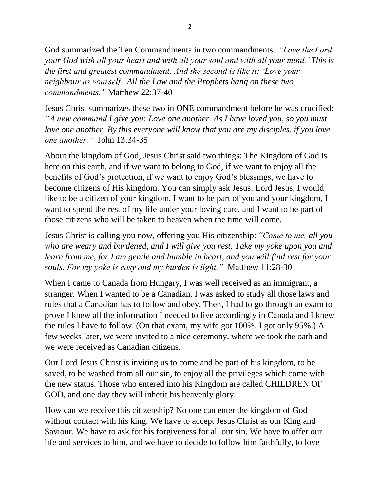God summarized the Ten Commandments in two commandments*: "Love the Lord your God with all your heart and with all your soul and with all your mind.' This is the first and greatest commandment. And the second is like it: 'Love your neighbour as yourself.' All the Law and the Prophets hang on these two commandments."* Matthew 22:37-40

Jesus Christ summarizes these two in ONE commandment before he was crucified: *"A new command I give you: Love one another. As I have loved you, so you must love one another. By this everyone will know that you are my disciples, if you love one another."* John 13:34-35

About the kingdom of God, Jesus Christ said two things: The Kingdom of God is here on this earth, and if we want to belong to God, if we want to enjoy all the benefits of God's protection, if we want to enjoy God's blessings, we have to become citizens of His kingdom. You can simply ask Jesus: Lord Jesus, I would like to be a citizen of your kingdom. I want to be part of you and your kingdom, I want to spend the rest of my life under your loving care, and I want to be part of those citizens who will be taken to heaven when the time will come.

Jesus Christ is calling you now, offering you His citizenship: *"Come to me, all you who are weary and burdened, and I will give you rest. Take my yoke upon you and learn from me, for I am gentle and humble in heart, and you will find rest for your souls. For my yoke is easy and my burden is light."* Matthew 11:28-30

When I came to Canada from Hungary, I was well received as an immigrant, a stranger. When I wanted to be a Canadian, I was asked to study all those laws and rules that a Canadian has to follow and obey. Then, I had to go through an exam to prove I knew all the information I needed to live accordingly in Canada and I knew the rules I have to follow. (On that exam, my wife got 100%. I got only 95%.) A few weeks later, we were invited to a nice ceremony, where we took the oath and we were received as Canadian citizens.

Our Lord Jesus Christ is inviting us to come and be part of his kingdom, to be saved, to be washed from all our sin, to enjoy all the privileges which come with the new status. Those who entered into his Kingdom are called CHILDREN OF GOD, and one day they will inherit his heavenly glory.

How can we receive this citizenship? No one can enter the kingdom of God without contact with his king. We have to accept Jesus Christ as our King and Saviour. We have to ask for his forgiveness for all our sin. We have to offer our life and services to him, and we have to decide to follow him faithfully, to love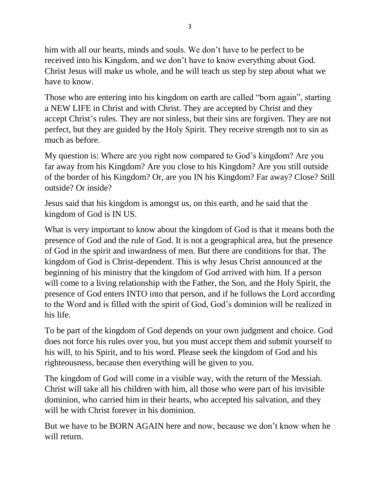him with all our hearts, minds and souls. We don't have to be perfect to be received into his Kingdom, and we don't have to know everything about God. Christ Jesus will make us whole, and he will teach us step by step about what we have to know.

Those who are entering into his kingdom on earth are called "born again", starting a NEW LIFE in Christ and with Christ. They are accepted by Christ and they accept Christ's rules. They are not sinless, but their sins are forgiven. They are not perfect, but they are guided by the Holy Spirit. They receive strength not to sin as much as before.

My question is: Where are you right now compared to God's kingdom? Are you far away from his Kingdom? Are you close to his Kingdom? Are you still outside of the border of his Kingdom? Or, are you IN his Kingdom? Far away? Close? Still outside? Or inside?

Jesus said that his kingdom is amongst us, on this earth, and he said that the kingdom of God is IN US.

What is very important to know about the kingdom of God is that it means both the presence of God and the rule of God. It is not a geographical area, but the presence of God in the spirit and inwardness of men. But there are conditions for that. The kingdom of God is Christ-dependent. This is why Jesus Christ announced at the beginning of his ministry that the kingdom of God arrived with him. If a person will come to a living relationship with the Father, the Son, and the Holy Spirit, the presence of God enters INTO into that person, and if he follows the Lord according to the Word and is filled with the spirit of God, God's dominion will be realized in his life.

To be part of the kingdom of God depends on your own judgment and choice. God does not force his rules over you, but you must accept them and submit yourself to his will, to his Spirit, and to his word. Please seek the kingdom of God and his righteousness, because then everything will be given to you.

The kingdom of God will come in a visible way, with the return of the Messiah. Christ will take all his children with him, all those who were part of his invisible dominion, who carried him in their hearts, who accepted his salvation, and they will be with Christ forever in his dominion.

But we have to be BORN AGAIN here and now, because we don't know when he will return.